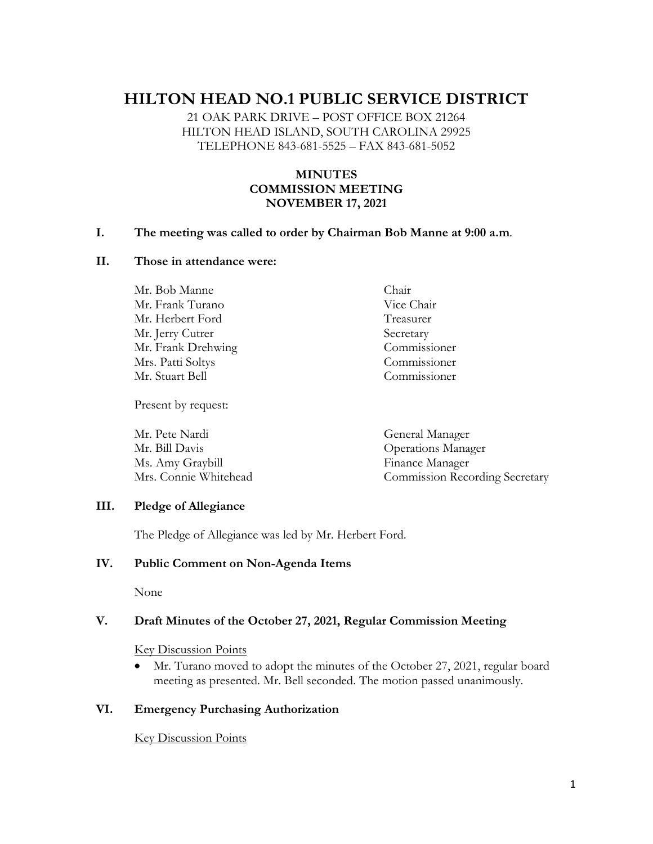# **HILTON HEAD NO.1 PUBLIC SERVICE DISTRICT**

21 OAK PARK DRIVE – POST OFFICE BOX 21264 HILTON HEAD ISLAND, SOUTH CAROLINA 29925 TELEPHONE 843-681-5525 – FAX 843-681-5052

# **MINUTES COMMISSION MEETING NOVEMBER 17, 2021**

#### **I. The meeting was called to order by Chairman Bob Manne at 9:00 a.m**.

#### **II. Those in attendance were:**

Mr. Bob Manne Chair Mr. Frank Turano Vice Chair Mr. Herbert Ford Treasurer Mr. Jerry Cutrer Secretary Mr. Frank Drehwing Commissioner Mrs. Patti Soltys Commissioner Mr. Stuart Bell Commissioner

Present by request:

Mr. Pete Nardi General Manager Mr. Bill Davis Operations Manager Ms. Amy Graybill Finance Manager Mrs. Connie Whitehead Commission Recording Secretary

### **III. Pledge of Allegiance**

The Pledge of Allegiance was led by Mr. Herbert Ford.

#### **IV. Public Comment on Non-Agenda Items**

None

#### **V. Draft Minutes of the October 27, 2021, Regular Commission Meeting**

Key Discussion Points

• Mr. Turano moved to adopt the minutes of the October 27, 2021, regular board meeting as presented. Mr. Bell seconded. The motion passed unanimously.

#### **VI. Emergency Purchasing Authorization**

#### Key Discussion Points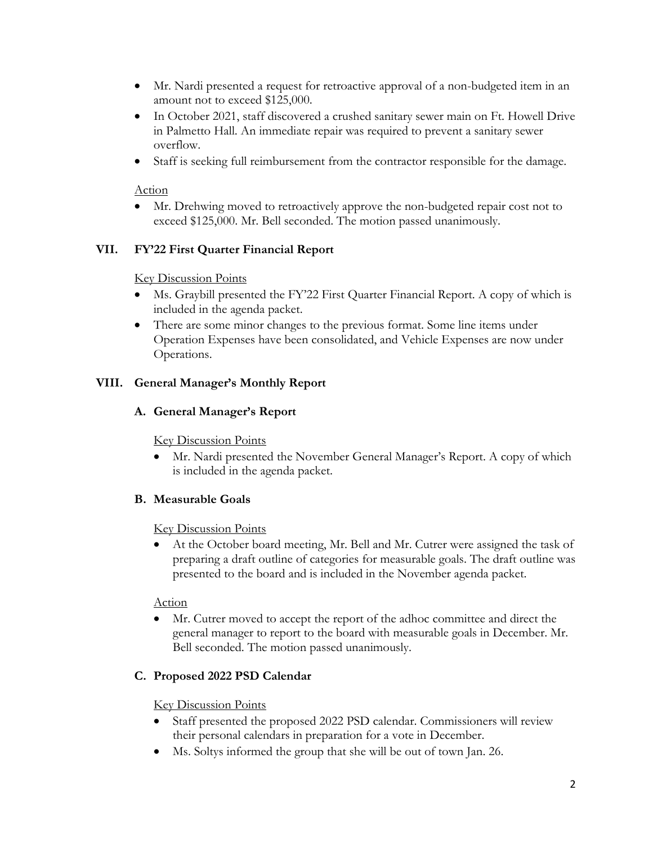- Mr. Nardi presented a request for retroactive approval of a non-budgeted item in an amount not to exceed \$125,000.
- In October 2021, staff discovered a crushed sanitary sewer main on Ft. Howell Drive in Palmetto Hall. An immediate repair was required to prevent a sanitary sewer overflow.
- Staff is seeking full reimbursement from the contractor responsible for the damage.

### Action

• Mr. Drehwing moved to retroactively approve the non-budgeted repair cost not to exceed \$125,000. Mr. Bell seconded. The motion passed unanimously.

# **VII. FY'22 First Quarter Financial Report**

### Key Discussion Points

- Ms. Graybill presented the FY'22 First Quarter Financial Report. A copy of which is included in the agenda packet.
- There are some minor changes to the previous format. Some line items under Operation Expenses have been consolidated, and Vehicle Expenses are now under Operations.

# **VIII. General Manager's Monthly Report**

# **A. General Manager's Report**

#### Key Discussion Points

• Mr. Nardi presented the November General Manager's Report. A copy of which is included in the agenda packet.

# **B. Measurable Goals**

#### Key Discussion Points

• At the October board meeting, Mr. Bell and Mr. Cutrer were assigned the task of preparing a draft outline of categories for measurable goals. The draft outline was presented to the board and is included in the November agenda packet.

#### Action

• Mr. Cutrer moved to accept the report of the adhoc committee and direct the general manager to report to the board with measurable goals in December. Mr. Bell seconded. The motion passed unanimously.

# **C. Proposed 2022 PSD Calendar**

#### Key Discussion Points

- Staff presented the proposed 2022 PSD calendar. Commissioners will review their personal calendars in preparation for a vote in December.
- Ms. Soltys informed the group that she will be out of town Jan. 26.